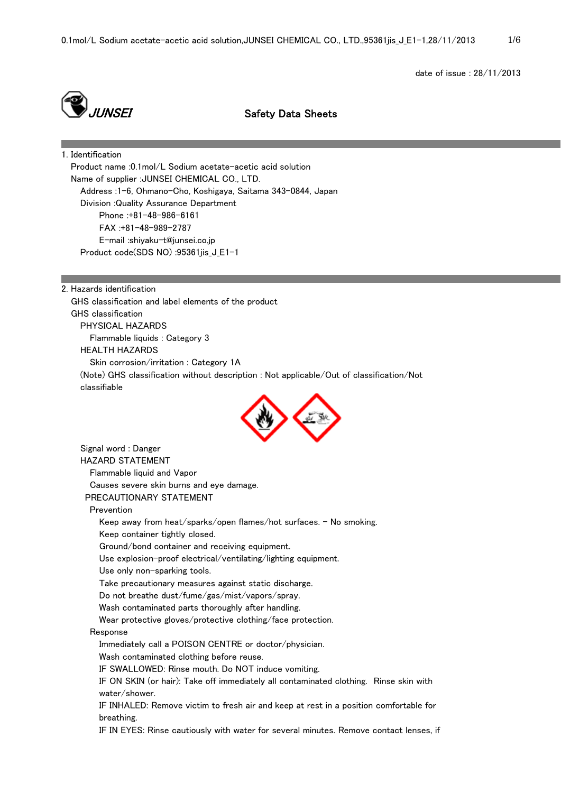date of issue : 28/11/2013



JUNSEI Safety Data Sheets

1. Identification Product name :0.1mol/L Sodium acetate-acetic acid solution Name of supplier :JUNSEI CHEMICAL CO., LTD. Address :1-6, Ohmano-Cho, Koshigaya, Saitama 343-0844, Japan Division :Quality Assurance Department Phone :+81-48-986-6161 FAX :+81-48-989-2787 E-mail :shiyaku-t@junsei.co.jp Product code(SDS NO) :95361jis\_J\_E1-1

2. Hazards identification GHS classification and label elements of the product GHS classification PHYSICAL HAZARDS Flammable liquids : Category 3 HEALTH HAZARDS Skin corrosion/irritation : Category 1A (Note) GHS classification without description : Not applicable/Out of classification/Not classifiable



 Signal word : Danger HAZARD STATEMENT Flammable liquid and Vapor Causes severe skin burns and eye damage. PRECAUTIONARY STATEMENT Prevention Keep away from heat/sparks/open flames/hot surfaces.  $-$  No smoking. Keep container tightly closed. Ground/bond container and receiving equipment. Use explosion-proof electrical/ventilating/lighting equipment. Use only non-sparking tools. Take precautionary measures against static discharge. Do not breathe dust/fume/gas/mist/vapors/spray. Wash contaminated parts thoroughly after handling. Wear protective gloves/protective clothing/face protection. Response Immediately call a POISON CENTRE or doctor/physician. Wash contaminated clothing before reuse. IF SWALLOWED: Rinse mouth. Do NOT induce vomiting. IF ON SKIN (or hair): Take off immediately all contaminated clothing. Rinse skin with water/shower. IF INHALED: Remove victim to fresh air and keep at rest in a position comfortable for breathing. IF IN EYES: Rinse cautiously with water for several minutes. Remove contact lenses, if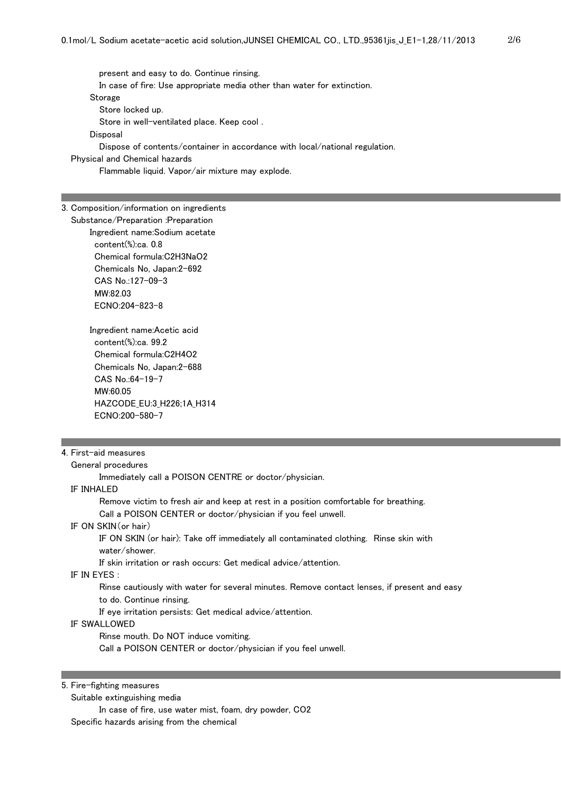present and easy to do. Continue rinsing. In case of fire: Use appropriate media other than water for extinction. Storage Store locked up. Store in well-ventilated place. Keep cool . Disposal Dispose of contents/container in accordance with local/national regulation.

Physical and Chemical hazards

Flammable liquid. Vapor/air mixture may explode.

#### 3. Composition/information on ingredients

 Substance/Preparation :Preparation Ingredient name:Sodium acetate content(%):ca. 0.8 Chemical formula:C2H3NaO2 Chemicals No, Japan:2-692 CAS No.:127-09-3 MW:82.03 ECNO:204-823-8

> Ingredient name:Acetic acid content(%):ca. 99.2 Chemical formula:C2H4O2 Chemicals No, Japan:2-688 CAS No.:64-19-7 MW:60.05 HAZCODE\_EU:3\_H226;1A\_H314 ECNO:200-580-7

#### 4. First-aid measures

General procedures

Immediately call a POISON CENTRE or doctor/physician.

## IF INHALED

 Remove victim to fresh air and keep at rest in a position comfortable for breathing. Call a POISON CENTER or doctor/physician if you feel unwell.

### IF ON SKIN(or hair)

 IF ON SKIN (or hair): Take off immediately all contaminated clothing. Rinse skin with water/shower.

If skin irritation or rash occurs: Get medical advice/attention.

# IF IN EYES :

 Rinse cautiously with water for several minutes. Remove contact lenses, if present and easy to do. Continue rinsing.

If eye irritation persists: Get medical advice/attention.

# IF SWALLOWED

Rinse mouth. Do NOT induce vomiting.

Call a POISON CENTER or doctor/physician if you feel unwell.

5. Fire-fighting measures

Suitable extinguishing media

 In case of fire, use water mist, foam, dry powder, CO2 Specific hazards arising from the chemical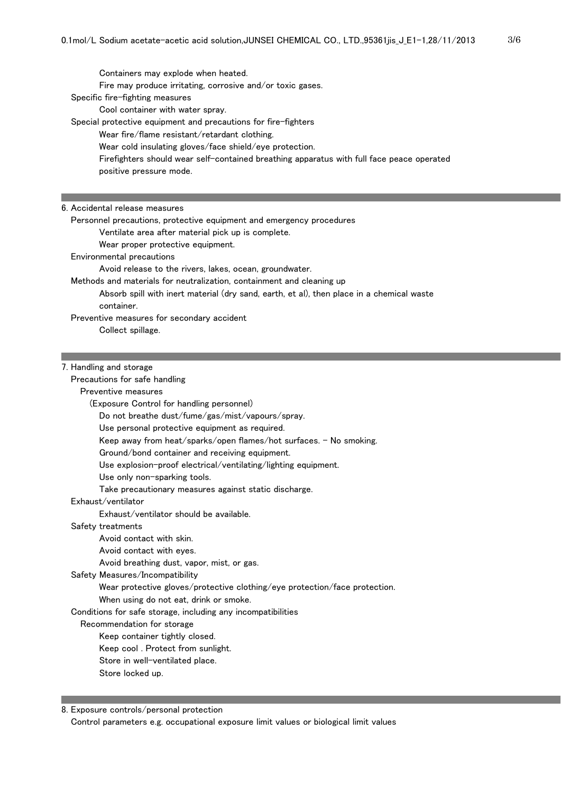Containers may explode when heated. Fire may produce irritating, corrosive and/or toxic gases. Specific fire-fighting measures Cool container with water spray. Special protective equipment and precautions for fire-fighters Wear fire/flame resistant/retardant clothing. Wear cold insulating gloves/face shield/eye protection. Firefighters should wear self-contained breathing apparatus with full face peace operated positive pressure mode.

#### 6. Accidental release measures

Personnel precautions, protective equipment and emergency procedures

Ventilate area after material pick up is complete.

Wear proper protective equipment.

Environmental precautions

Avoid release to the rivers, lakes, ocean, groundwater.

Methods and materials for neutralization, containment and cleaning up

 Absorb spill with inert material (dry sand, earth, et al), then place in a chemical waste container.

Preventive measures for secondary accident

Collect spillage.

### 7. Handling and storage

Precautions for safe handling

Preventive measures

(Exposure Control for handling personnel)

Do not breathe dust/fume/gas/mist/vapours/spray.

Use personal protective equipment as required.

Keep away from heat/sparks/open flames/hot surfaces. - No smoking.

Ground/bond container and receiving equipment.

Use explosion-proof electrical/ventilating/lighting equipment.

Use only non-sparking tools.

Take precautionary measures against static discharge.

## Exhaust/ventilator

Exhaust/ventilator should be available.

### Safety treatments

Avoid contact with skin.

Avoid contact with eyes.

Avoid breathing dust, vapor, mist, or gas.

### Safety Measures/Incompatibility

Wear protective gloves/protective clothing/eye protection/face protection.

When using do not eat, drink or smoke.

Conditions for safe storage, including any incompatibilities

### Recommendation for storage

Keep container tightly closed.

Keep cool . Protect from sunlight.

Store in well-ventilated place.

#### Store locked up.

8. Exposure controls/personal protection

Control parameters e.g. occupational exposure limit values or biological limit values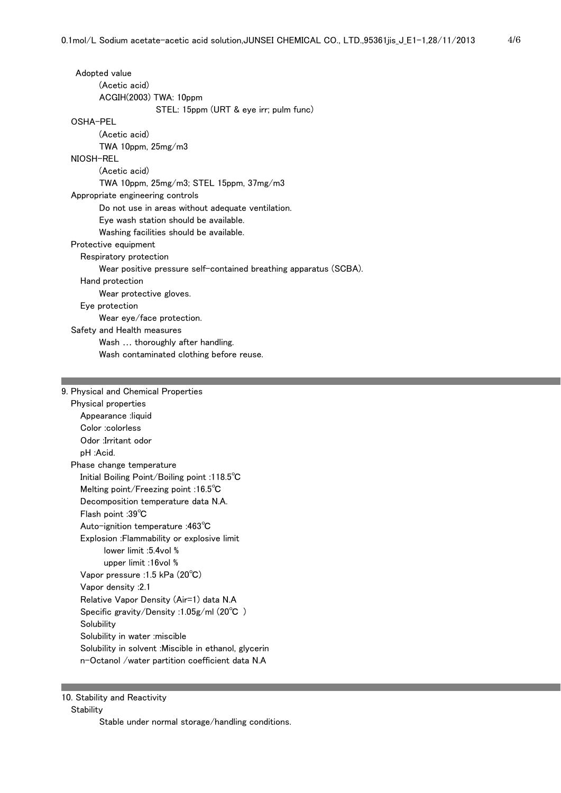| Adopted value                                                     |
|-------------------------------------------------------------------|
| (Acetic acid)                                                     |
| ACGIH(2003) TWA: 10ppm                                            |
| STEL: 15ppm (URT & eye irr; pulm func)                            |
| OSHA-PEL                                                          |
| (Acetic acid)                                                     |
| TWA 10ppm, 25mg/m3                                                |
| NIOSH-REL                                                         |
| (Acetic acid)                                                     |
| TWA 10ppm, $25mg/m3$ ; STEL 15ppm, $37mg/m3$                      |
| Appropriate engineering controls                                  |
| Do not use in areas without adequate ventilation.                 |
| Eye wash station should be available.                             |
| Washing facilities should be available.                           |
| Protective equipment                                              |
| Respiratory protection                                            |
| Wear positive pressure self-contained breathing apparatus (SCBA). |
| Hand protection                                                   |
| Wear protective gloves.                                           |
| Eye protection                                                    |
| Wear eye/face protection.                                         |
| Safety and Health measures                                        |
| Wash  thoroughly after handling.                                  |
| Wash contaminated clothing before reuse.                          |
|                                                                   |

# 9. Physical and Chemical Properties

| Physical properties                                    |
|--------------------------------------------------------|
| Appearance :liquid                                     |
| Color :colorless                                       |
| Odor :Irritant odor                                    |
| pH :Acid.                                              |
| Phase change temperature                               |
| Initial Boiling Point/Boiling point :118.5 $\degree$ C |
| Melting point/Freezing point :16.5 $\degree$ C         |
| Decomposition temperature data N.A.                    |
| Flash point :39°C                                      |
| Auto-ignition temperature :463 $^{\circ}$ C            |
| Explosion : Flammability or explosive limit            |
| lower limit :5.4vol %                                  |
| upper limit :16vol %                                   |
| Vapor pressure :1.5 kPa (20°C)                         |
| 2.1: Vapor density                                     |
| Relative Vapor Density (Air=1) data N.A                |
| Specific gravity/Density :1.05g/ml (20°C $\,$ )        |
| Solubility                                             |
| Solubility in water :miscible                          |
| Solubility in solvent :Miscible in ethanol, glycerin   |
| n-Octanol /water partition coefficient data N.A        |

# 10. Stability and Reactivity

**Stability** 

Stable under normal storage/handling conditions.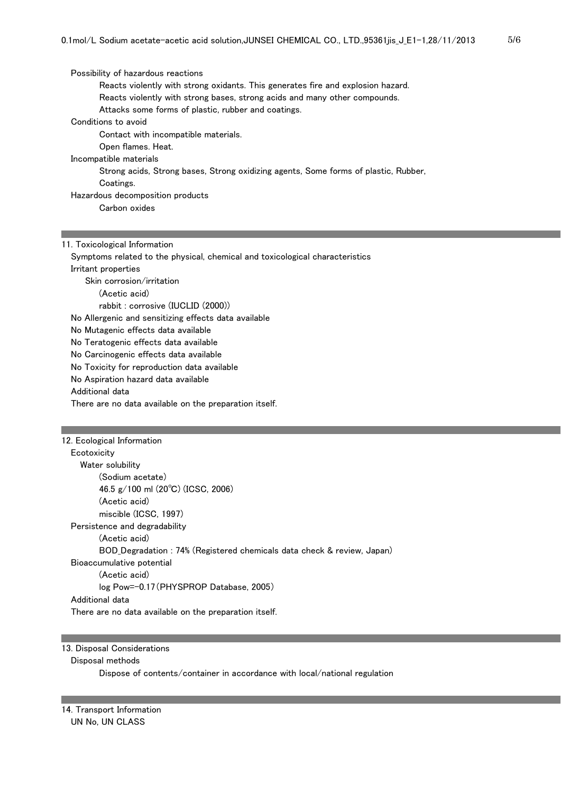Possibility of hazardous reactions Reacts violently with strong oxidants. This generates fire and explosion hazard. Reacts violently with strong bases, strong acids and many other compounds. Attacks some forms of plastic, rubber and coatings. Conditions to avoid Contact with incompatible materials. Open flames. Heat. Incompatible materials Strong acids, Strong bases, Strong oxidizing agents, Some forms of plastic, Rubber, Coatings. Hazardous decomposition products Carbon oxides

11. Toxicological Information

 Symptoms related to the physical, chemical and toxicological characteristics Irritant properties Skin corrosion/irritation (Acetic acid) rabbit : corrosive (IUCLID (2000)) No Allergenic and sensitizing effects data available No Mutagenic effects data available No Teratogenic effects data available No Carcinogenic effects data available No Toxicity for reproduction data available No Aspiration hazard data available Additional data There are no data available on the preparation itself. 12. Ecological Information

**Ecotoxicity**  Water solubility (Sodium acetate) 46.5 g/100 ml (20℃) (ICSC, 2006) (Acetic acid) miscible (ICSC, 1997) Persistence and degradability (Acetic acid) BOD\_Degradation : 74% (Registered chemicals data check & review, Japan) Bioaccumulative potential (Acetic acid) log Pow=-0.17(PHYSPROP Database, 2005) Additional data There are no data available on the preparation itself.

## 13. Disposal Considerations

## Disposal methods

Dispose of contents/container in accordance with local/national regulation

14. Transport Information UN No, UN CLASS